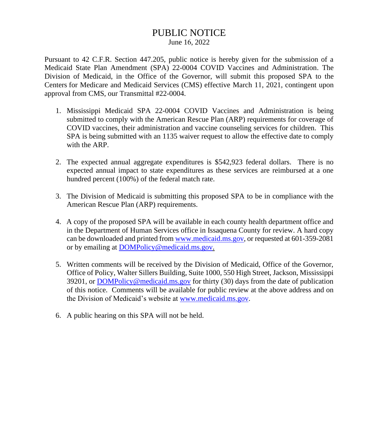# PUBLIC NOTICE

June 16, 2022

Pursuant to 42 C.F.R. Section 447.205, public notice is hereby given for the submission of a Medicaid State Plan Amendment (SPA) 22-0004 COVID Vaccines and Administration. The Division of Medicaid, in the Office of the Governor, will submit this proposed SPA to the Centers for Medicare and Medicaid Services (CMS) effective March 11, 2021, contingent upon approval from CMS, our Transmittal #22-0004.

- 1. Mississippi Medicaid SPA 22-0004 COVID Vaccines and Administration is being submitted to comply with the American Rescue Plan (ARP) requirements for coverage of COVID vaccines, their administration and vaccine counseling services for children. This SPA is being submitted with an 1135 waiver request to allow the effective date to comply with the ARP.
- 2. The expected annual aggregate expenditures is \$542,923 federal dollars. There is no expected annual impact to state expenditures as these services are reimbursed at a one hundred percent (100%) of the federal match rate.
- 3. The Division of Medicaid is submitting this proposed SPA to be in compliance with the American Rescue Plan (ARP) requirements.
- 4. A copy of the proposed SPA will be available in each county health department office and in the Department of Human Services office in Issaquena County for review. A hard copy can be downloaded and printed fro[m www.medicaid.ms.gov,](http://www.medicaid.ms.gov/) or requested at 601-359-2081 or by emailing at [DOMPolicy@medicaid.ms.gov.](mailto:Margaret.Wilson@medicaid.ms.gov)
- 5. Written comments will be received by the Division of Medicaid, Office of the Governor, Office of Policy, Walter Sillers Building, Suite 1000, 550 High Street, Jackson, Mississippi 39201, or [DOMPolicy@medicaid.ms.gov](mailto:Margaret.Wilson@medicaid.ms.gov) for thirty (30) days from the date of publication of this notice. Comments will be available for public review at the above address and on the Division of Medicaid's website at [www.medicaid.ms.gov.](http://www.medicaid.ms.gov/)
- 6. A public hearing on this SPA will not be held.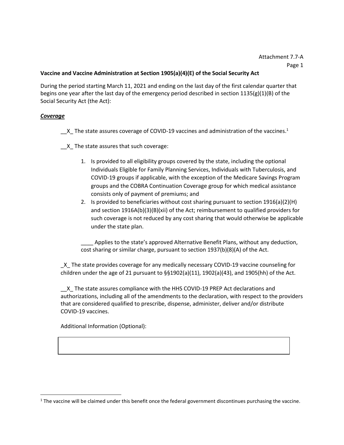# **Vaccine and Vaccine Administration at Section 1905(a)(4)(E) of the Social Security Act**

During the period starting March 11, 2021 and ending on the last day of the first calendar quarter that begins one year after the last day of the emergency period described in section 1135(g)(1)(B) of the Social Security Act (the Act):

## *Coverage*

- $\_\texttt{X}$  The state assures coverage of COVID-19 vaccines and administration of the vaccines.<sup>1</sup>
- \_\_X\_ The state assures that such coverage:
	- 1. Is provided to all eligibility groups covered by the state, including the optional Individuals Eligible for Family Planning Services, Individuals with Tuberculosis, and COVID-19 groups if applicable, with the exception of the Medicare Savings Program groups and the COBRA Continuation Coverage group for which medical assistance consists only of payment of premiums; and
	- 2. Is provided to beneficiaries without cost sharing pursuant to section 1916(a)(2)(H) and section 1916A(b)(3)(B)(xii) of the Act; reimbursement to qualified providers for such coverage is not reduced by any cost sharing that would otherwise be applicable under the state plan.

Applies to the state's approved Alternative Benefit Plans, without any deduction, cost sharing or similar charge, pursuant to section 1937(b)(8)(A) of the Act.

\_X\_ The state provides coverage for any medically necessary COVID-19 vaccine counseling for children under the age of 21 pursuant to  $\S$ §1902(a)(11), 1902(a)(43), and 1905(hh) of the Act.

\_\_X\_ The state assures compliance with the HHS COVID-19 PREP Act declarations and authorizations, including all of the amendments to the declaration, with respect to the providers that are considered qualified to prescribe, dispense, administer, deliver and/or distribute COVID-19 vaccines.

Additional Information (Optional):

 $1$  The vaccine will be claimed under this benefit once the federal government discontinues purchasing the vaccine.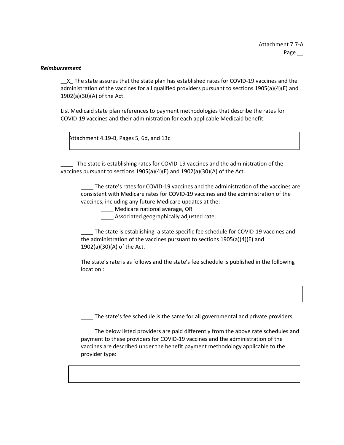#### *Reimbursement*

\_\_X\_ The state assures that the state plan has established rates for COVID-19 vaccines and the administration of the vaccines for all qualified providers pursuant to sections 1905(a)(4)(E) and 1902(a)(30)(A) of the Act.

List Medicaid state plan references to payment methodologies that describe the rates for COVID-19 vaccines and their administration for each applicable Medicaid benefit:

Attachment 4.19-B, Pages 5, 6d, and 13c

The state is establishing rates for COVID-19 vaccines and the administration of the vaccines pursuant to sections 1905(a)(4)(E) and 1902(a)(30)(A) of the Act.

The state's rates for COVID-19 vaccines and the administration of the vaccines are consistent with Medicare rates for COVID-19 vaccines and the administration of the vaccines, including any future Medicare updates at the:

\_\_\_\_ Medicare national average, OR

\_\_\_\_ Associated geographically adjusted rate.

\_\_\_\_ The state is establishing a state specific fee schedule for COVID-19 vaccines and the administration of the vaccines pursuant to sections 1905(a)(4)(E) and 1902(a)(30)(A) of the Act.

The state's rate is as follows and the state's fee schedule is published in the following location :

The state's fee schedule is the same for all governmental and private providers.

\_\_\_\_ The below listed providers are paid differently from the above rate schedules and payment to these providers for COVID-19 vaccines and the administration of the vaccines are described under the benefit payment methodology applicable to the provider type: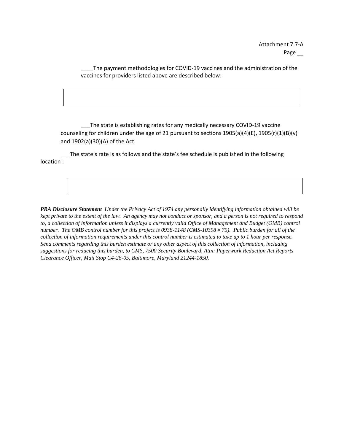The payment methodologies for COVID-19 vaccines and the administration of the vaccines for providers listed above are described below:

\_\_\_The state is establishing rates for any medically necessary COVID-19 vaccine counseling for children under the age of 21 pursuant to sections 1905(a)(4)(E), 1905(r)(1)(B)(v) and 1902(a)(30)(A) of the Act.

The state's rate is as follows and the state's fee schedule is published in the following location :

*PRA Disclosure Statement Under the Privacy Act of 1974 any personally identifying information obtained will be kept private to the extent of the law. An agency may not conduct or sponsor, and a person is not required to respond to, a collection of information unless it displays a currently valid Office of Management and Budget (OMB) control number. The OMB control number for this project is 0938-1148 (CMS-10398 # 75). Public burden for all of the collection of information requirements under this control number is estimated to take up to 1 hour per response. Send comments regarding this burden estimate or any other aspect of this collection of information, including suggestions for reducing this burden, to CMS, 7500 Security Boulevard, Attn: Paperwork Reduction Act Reports Clearance Officer, Mail Stop C4-26-05, Baltimore, Maryland 21244-1850.*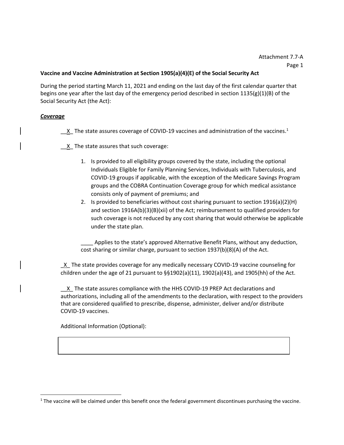# **Vaccine and Vaccine Administration at Section 1905(a)(4)(E) of the Social Security Act**

During the period starting March 11, 2021 and ending on the last day of the first calendar quarter that begins one year after the last day of the emergency period described in section 1135(g)(1)(B) of the Social Security Act (the Act):

## *Coverage*

 $\underline{\phantom{a}}$  The state assures coverage of COVID-19 vaccines and administration of the vaccines.<sup>1</sup>

 $X$  The state assures that such coverage:

- 1. Is provided to all eligibility groups covered by the state, including the optional Individuals Eligible for Family Planning Services, Individuals with Tuberculosis, and COVID‐19 groups if applicable, with the exception of the Medicare Savings Program groups and the COBRA Continuation Coverage group for which medical assistance consists only of payment of premiums; and
- 2. Is provided to beneficiaries without cost sharing pursuant to section 1916(a)(2)(H) and section 1916A(b)(3)(B)(xii) of the Act; reimbursement to qualified providers for such coverage is not reduced by any cost sharing that would otherwise be applicable under the state plan.

Applies to the state's approved Alternative Benefit Plans, without any deduction, cost sharing or similar charge, pursuant to section 1937(b)(8)(A) of the Act.

\_X\_ The state provides coverage for any medically necessary COVID‐19 vaccine counseling for children under the age of 21 pursuant to  $\S$ §1902(a)(11), 1902(a)(43), and 1905(hh) of the Act.

\_\_X\_ The state assures compliance with the HHS COVID‐19 PREP Act declarations and authorizations, including all of the amendments to the declaration, with respect to the providers that are considered qualified to prescribe, dispense, administer, deliver and/or distribute COVID‐19 vaccines.

Additional Information (Optional):

 $1$  The vaccine will be claimed under this benefit once the federal government discontinues purchasing the vaccine.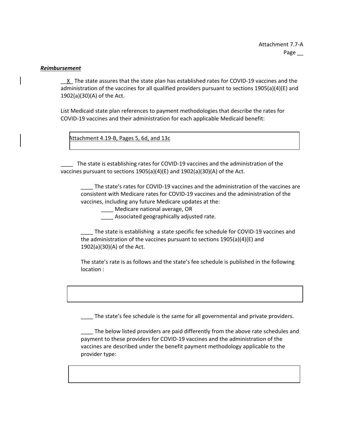#### *Reimbursement*

X The state assures that the state plan has established rates for COVID-19 vaccines and the administration of the vaccines for all qualified providers pursuant to sections 1905(a)(4)(E) and 1902(a)(30)(A) of the Act.

List Medicaid state plan references to payment methodologies that describe the rates for COVID‐19 vaccines and their administration for each applicable Medicaid benefit:

Attachment 4.19-B, Pages 5, 6d, and 13c

The state is establishing rates for COVID-19 vaccines and the administration of the vaccines pursuant to sections 1905(a)(4)(E) and 1902(a)(30)(A) of the Act.

The state's rates for COVID-19 vaccines and the administration of the vaccines are consistent with Medicare rates for COVID‐19 vaccines and the administration of the vaccines, including any future Medicare updates at the:

\_\_\_\_ Medicare national average, OR

\_\_\_\_ Associated geographically adjusted rate.

\_\_\_\_ The state is establishing a state specific fee schedule for COVID‐19 vaccines and the administration of the vaccines pursuant to sections 1905(a)(4)(E) and 1902(a)(30)(A) of the Act.

The state's rate is as follows and the state's fee schedule is published in the following location :

The state's fee schedule is the same for all governmental and private providers.

\_\_\_\_ The below listed providers are paid differently from the above rate schedules and payment to these providers for COVID‐19 vaccines and the administration of the vaccines are described under the benefit payment methodology applicable to the provider type: